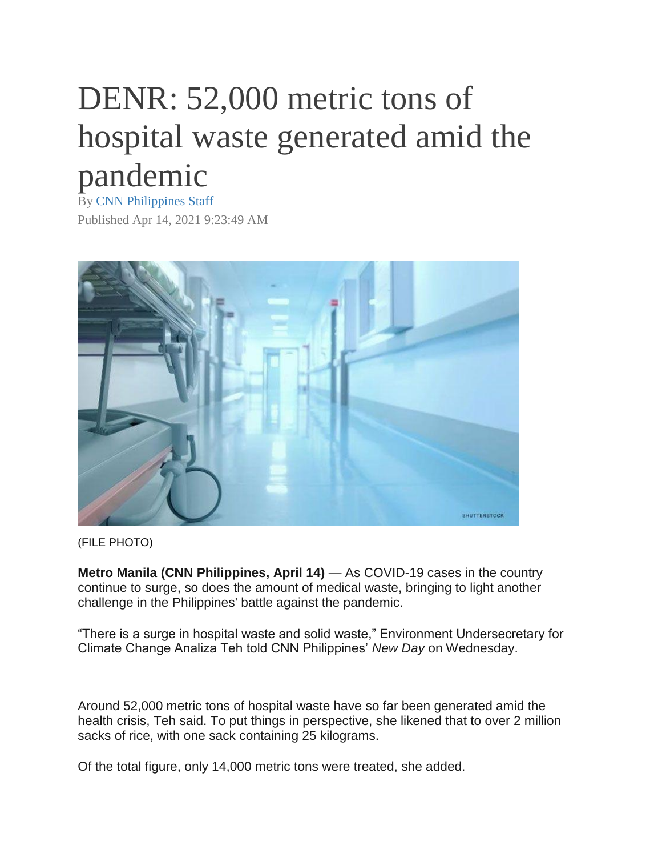## DENR: 52,000 metric tons of hospital waste generated amid the pandemic

By [CNN Philippines Staff](https://cnnphilippines.com/cnn-website/search/?queryStr=CNN%20Philippines%20Staff) Published Apr 14, 2021 9:23:49 AM



(FILE PHOTO)

**Metro Manila (CNN Philippines, April 14)** — As COVID-19 cases in the country continue to surge, so does the amount of medical waste, bringing to light another challenge in the Philippines' battle against the pandemic.

"There is a surge in hospital waste and solid waste," Environment Undersecretary for Climate Change Analiza Teh told CNN Philippines' *New Day* on Wednesday.

Around 52,000 metric tons of hospital waste have so far been generated amid the health crisis, Teh said. To put things in perspective, she likened that to over 2 million sacks of rice, with one sack containing 25 kilograms.

Of the total figure, only 14,000 metric tons were treated, she added.